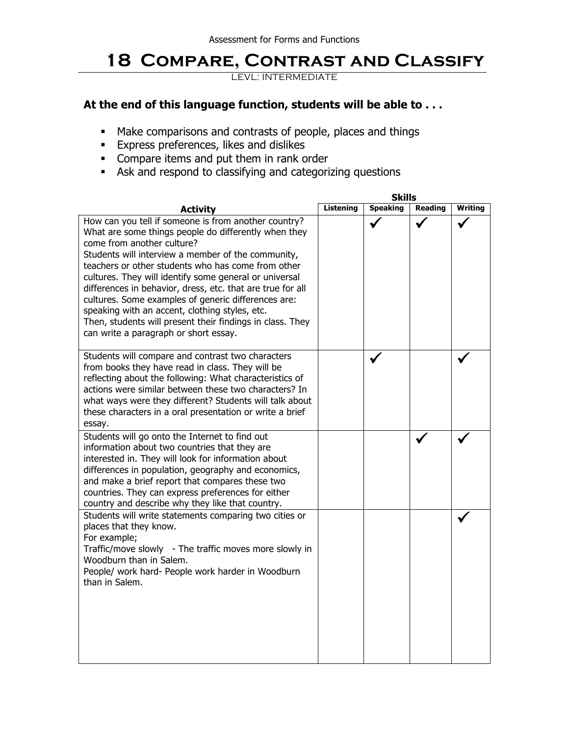## **18 Compare, Contrast and Classify**

LEVL: INTERMEDIATE

## **At the end of this language function, students will be able to . . .**

- Make comparisons and contrasts of people, places and things
- **Express preferences, likes and dislikes**
- Compare items and put them in rank order
- Ask and respond to classifying and categorizing questions

|                                                                                                                                                                                                                                                                                                                                                                                                                                                                                                                                                                                               | <b>Skills</b>    |                 |                |                |  |
|-----------------------------------------------------------------------------------------------------------------------------------------------------------------------------------------------------------------------------------------------------------------------------------------------------------------------------------------------------------------------------------------------------------------------------------------------------------------------------------------------------------------------------------------------------------------------------------------------|------------------|-----------------|----------------|----------------|--|
| <b>Activity</b>                                                                                                                                                                                                                                                                                                                                                                                                                                                                                                                                                                               | <b>Listening</b> | <b>Speaking</b> | <b>Reading</b> | <b>Writing</b> |  |
| How can you tell if someone is from another country?<br>What are some things people do differently when they<br>come from another culture?<br>Students will interview a member of the community,<br>teachers or other students who has come from other<br>cultures. They will identify some general or universal<br>differences in behavior, dress, etc. that are true for all<br>cultures. Some examples of generic differences are:<br>speaking with an accent, clothing styles, etc.<br>Then, students will present their findings in class. They<br>can write a paragraph or short essay. |                  |                 |                |                |  |
| Students will compare and contrast two characters<br>from books they have read in class. They will be<br>reflecting about the following: What characteristics of<br>actions were similar between these two characters? In<br>what ways were they different? Students will talk about<br>these characters in a oral presentation or write a brief<br>essay.                                                                                                                                                                                                                                    |                  |                 |                |                |  |
| Students will go onto the Internet to find out<br>information about two countries that they are<br>interested in. They will look for information about<br>differences in population, geography and economics,<br>and make a brief report that compares these two<br>countries. They can express preferences for either<br>country and describe why they like that country.                                                                                                                                                                                                                    |                  |                 |                |                |  |
| Students will write statements comparing two cities or<br>places that they know.<br>For example;<br>Traffic/move slowly - The traffic moves more slowly in<br>Woodburn than in Salem.<br>People/ work hard- People work harder in Woodburn<br>than in Salem.                                                                                                                                                                                                                                                                                                                                  |                  |                 |                |                |  |